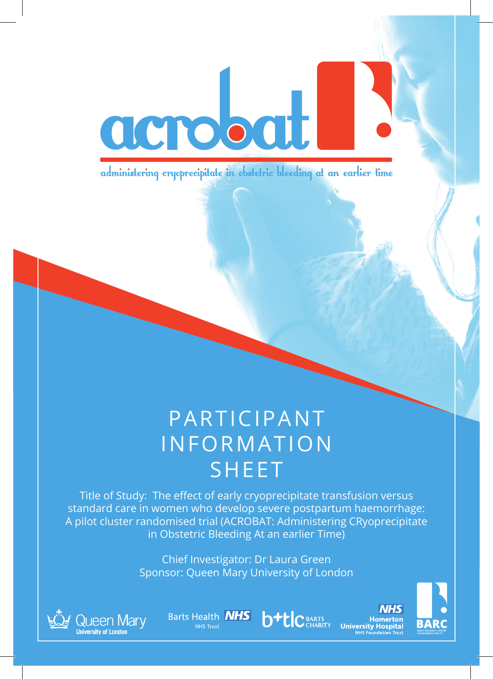

administering cryoprecipitate in obstetric bleeding at an earlier time

### PARTICIPANT INFORMATION SHEET

Title of Study: The effect of early cryoprecipitate transfusion versus standard care in women who develop severe postpartum haemorrhage: A pilot cluster randomised trial (ACROBAT: Administering CRyoprecipitate in Obstetric Bleeding At an earlier Time)

> Chief Investigator: Dr Laura Green Sponsor: Queen Mary University of London



**Barts Health NHS** 



**NHS** Homerton **University Hospital** 

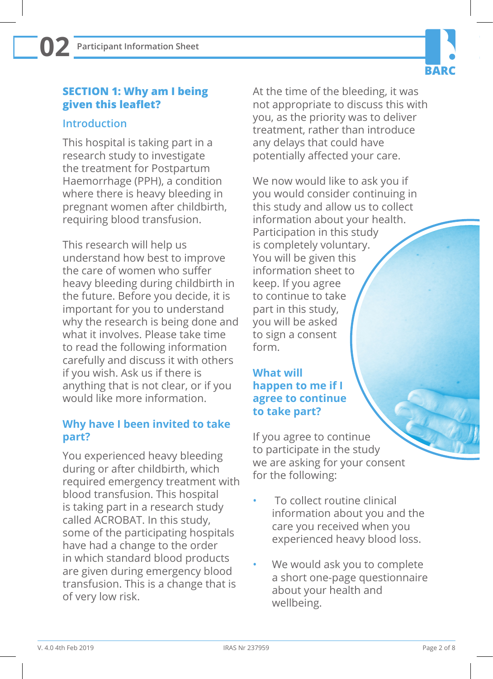# **BARC**

#### **SECTION 1: Why am I being given this leaflet?**

#### **Introduction**

This hospital is taking part in a research study to investigate the treatment for Postpartum Haemorrhage (PPH), a condition where there is heavy bleeding in pregnant women after childbirth, requiring blood transfusion.

This research will help us understand how best to improve the care of women who suffer heavy bleeding during childbirth in the future. Before you decide, it is important for you to understand why the research is being done and what it involves. Please take time to read the following information carefully and discuss it with others if you wish. Ask us if there is anything that is not clear, or if you would like more information.

#### **Why have I been invited to take part?**

You experienced heavy bleeding during or after childbirth, which required emergency treatment with blood transfusion. This hospital is taking part in a research study called ACROBAT. In this study, some of the participating hospitals have had a change to the order in which standard blood products are given during emergency blood transfusion. This is a change that is of very low risk.

At the time of the bleeding, it was not appropriate to discuss this with you, as the priority was to deliver treatment, rather than introduce any delays that could have potentially affected your care.

We now would like to ask you if you would consider continuing in this study and allow us to collect information about your health. Participation in this study is completely voluntary. You will be given this information sheet to keep. If you agree to continue to take part in this study, you will be asked to sign a consent form.

#### **What will happen to me if I agree to continue to take part?**

If you agree to continue to participate in the study we are asking for your consent for the following:

- To collect routine clinical information about you and the care you received when you experienced heavy blood loss.
- We would ask you to complete a short one-page questionnaire about your health and wellbeing.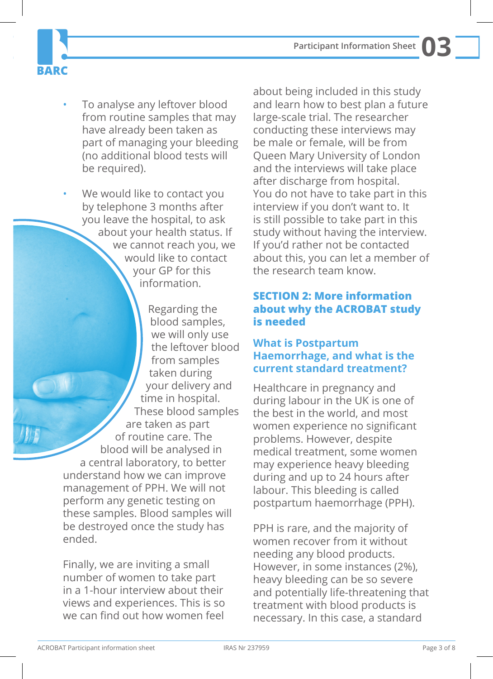**Participant Information Sheet 03**

• To analyse any leftover blood from routine samples that may have already been taken as part of managing your bleeding (no additional blood tests will be required).

**BARC** 

We would like to contact you by telephone 3 months after you leave the hospital, to ask about your health status. If we cannot reach you, we would like to contact your GP for this information.

Regarding the blood samples, we will only use the leftover blood from samples taken during your delivery and time in hospital. These blood samples are taken as part of routine care. The blood will be analysed in a central laboratory, to better understand how we can improve management of PPH. We will not perform any genetic testing on these samples. Blood samples will be destroyed once the study has ended.

Finally, we are inviting a small number of women to take part in a 1-hour interview about their views and experiences. This is so we can find out how women feel

about being included in this study and learn how to best plan a future large-scale trial. The researcher conducting these interviews may be male or female, will be from Queen Mary University of London and the interviews will take place after discharge from hospital. You do not have to take part in this interview if you don't want to. It is still possible to take part in this study without having the interview. If you'd rather not be contacted about this, you can let a member of the research team know.

#### **SECTION 2: More information about why the ACROBAT study is needed**

#### **What is Postpartum Haemorrhage, and what is the current standard treatment?**

Healthcare in pregnancy and during labour in the UK is one of the best in the world, and most women experience no significant problems. However, despite medical treatment, some women may experience heavy bleeding during and up to 24 hours after labour. This bleeding is called postpartum haemorrhage (PPH).

PPH is rare, and the majority of women recover from it without needing any blood products. However, in some instances (2%), heavy bleeding can be so severe and potentially life-threatening that treatment with blood products is necessary. In this case, a standard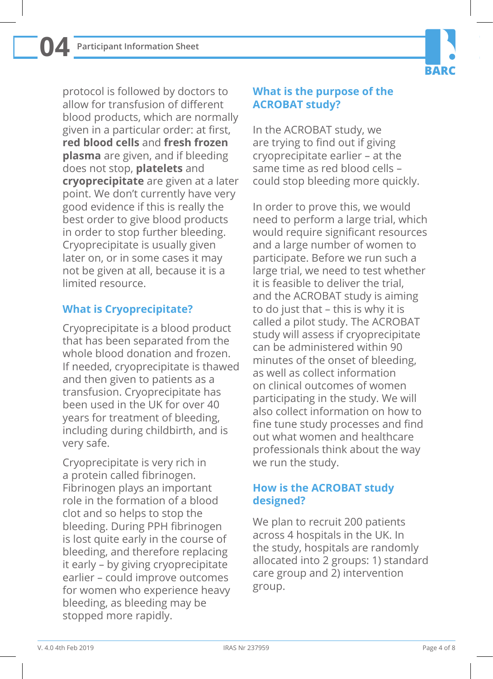**04**



protocol is followed by doctors to allow for transfusion of different blood products, which are normally given in a particular order: at first, **red blood cells** and **fresh frozen plasma** are given, and if bleeding does not stop, **platelets** and **cryoprecipitate** are given at a later point. We don't currently have very good evidence if this is really the best order to give blood products in order to stop further bleeding. Cryoprecipitate is usually given later on, or in some cases it may not be given at all, because it is a limited resource.

#### **What is Cryoprecipitate?**

Cryoprecipitate is a blood product that has been separated from the whole blood donation and frozen. If needed, cryoprecipitate is thawed and then given to patients as a transfusion. Cryoprecipitate has been used in the UK for over 40 years for treatment of bleeding, including during childbirth, and is very safe.

Cryoprecipitate is very rich in a protein called fibrinogen. Fibrinogen plays an important role in the formation of a blood clot and so helps to stop the bleeding. During PPH fibrinogen is lost quite early in the course of bleeding, and therefore replacing it early – by giving cryoprecipitate earlier – could improve outcomes for women who experience heavy bleeding, as bleeding may be stopped more rapidly.

#### **What is the purpose of the ACROBAT study?**

In the ACROBAT study, we are trying to find out if giving cryoprecipitate earlier – at the same time as red blood cells – could stop bleeding more quickly.

In order to prove this, we would need to perform a large trial, which would require significant resources and a large number of women to participate. Before we run such a large trial, we need to test whether it is feasible to deliver the trial, and the ACROBAT study is aiming to do just that – this is why it is called a pilot study. The ACROBAT study will assess if cryoprecipitate can be administered within 90 minutes of the onset of bleeding, as well as collect information on clinical outcomes of women participating in the study. We will also collect information on how to fine tune study processes and find out what women and healthcare professionals think about the way we run the study.

#### **How is the ACROBAT study designed?**

We plan to recruit 200 patients across 4 hospitals in the UK. In the study, hospitals are randomly allocated into 2 groups: 1) standard care group and 2) intervention group.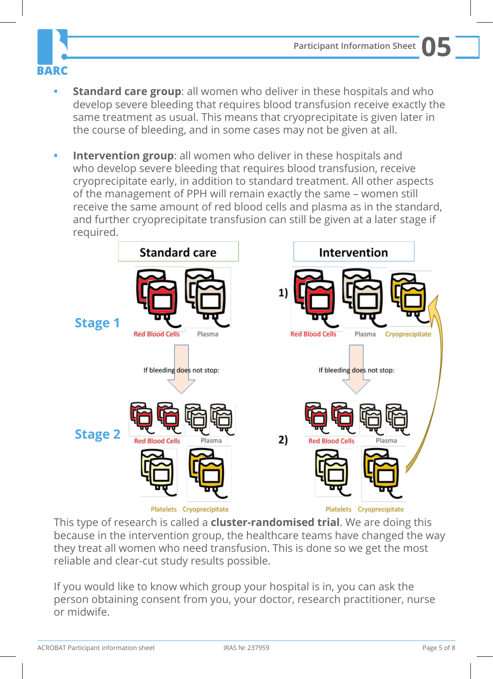



- **• Standard care group**: all women who deliver in these hospitals and who develop severe bleeding that requires blood transfusion receive exactly the same treatment as usual. This means that cryoprecipitate is given later in the course of bleeding, and in some cases may not be given at all.
- **Intervention group:** all women who deliver in these hospitals and who develop severe bleeding that requires blood transfusion, receive cryoprecipitate early, in addition to standard treatment. All other aspects of the management of PPH will remain exactly the same – women still receive the same amount of red blood cells and plasma as in the standard, and further cryoprecipitate transfusion can still be given at a later stage if required.



This type of research is called a **cluster-randomised trial**. We are doing this because in the intervention group, the healthcare teams have changed the way they treat all women who need transfusion. This is done so we get the most reliable and clear-cut study results possible.

If you would like to know which group your hospital is in, you can ask the person obtaining consent from you, your doctor, research practitioner, nurse or midwife.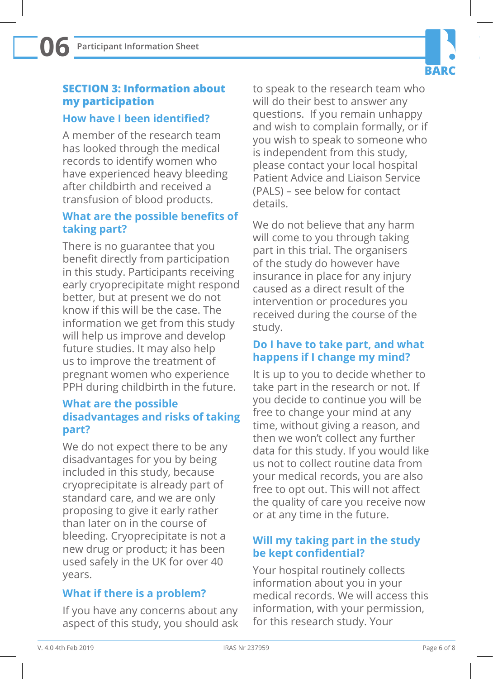#### **SECTION 3: Information about my participation**

#### **How have I been identified?**

A member of the research team has looked through the medical records to identify women who have experienced heavy bleeding after childbirth and received a transfusion of blood products.

#### **What are the possible benefits of taking part?**

There is no guarantee that you benefit directly from participation in this study. Participants receiving early cryoprecipitate might respond better, but at present we do not know if this will be the case. The information we get from this study will help us improve and develop future studies. It may also help us to improve the treatment of pregnant women who experience PPH during childbirth in the future.

#### **What are the possible disadvantages and risks of taking part?**

We do not expect there to be any disadvantages for you by being included in this study, because cryoprecipitate is already part of standard care, and we are only proposing to give it early rather than later on in the course of bleeding. Cryoprecipitate is not a new drug or product; it has been used safely in the UK for over 40 years.

#### **What if there is a problem?**

If you have any concerns about any aspect of this study, you should ask to speak to the research team who will do their best to answer any questions. If you remain unhappy and wish to complain formally, or if you wish to speak to someone who is independent from this study, please contact your local hospital Patient Advice and Liaison Service (PALS) – see below for contact details.

**BARC** 

We do not believe that any harm will come to you through taking part in this trial. The organisers of the study do however have insurance in place for any injury caused as a direct result of the intervention or procedures you received during the course of the study.

#### **Do I have to take part, and what happens if I change my mind?**

It is up to you to decide whether to take part in the research or not. If you decide to continue you will be free to change your mind at any time, without giving a reason, and then we won't collect any further data for this study. If you would like us not to collect routine data from your medical records, you are also free to opt out. This will not affect the quality of care you receive now or at any time in the future.

#### **Will my taking part in the study be kept confidential?**

Your hospital routinely collects information about you in your medical records. We will access this information, with your permission, for this research study. Your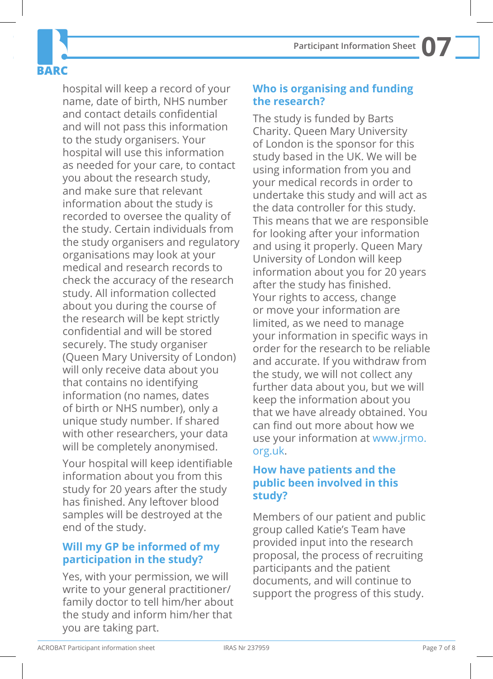

hospital will keep a record of your name, date of birth, NHS number and contact details confidential and will not pass this information to the study organisers. Your hospital will use this information as needed for your care, to contact you about the research study, and make sure that relevant information about the study is recorded to oversee the quality of the study. Certain individuals from the study organisers and regulatory organisations may look at your medical and research records to check the accuracy of the research study. All information collected about you during the course of the research will be kept strictly confidential and will be stored securely. The study organiser (Queen Mary University of London) will only receive data about you that contains no identifying information (no names, dates of birth or NHS number), only a unique study number. If shared with other researchers, your data will be completely anonymised.

Your hospital will keep identifiable information about you from this study for 20 years after the study has finished. Any leftover blood samples will be destroyed at the end of the study.

#### **Will my GP be informed of my participation in the study?**

Yes, with your permission, we will write to your general practitioner/ family doctor to tell him/her about the study and inform him/her that you are taking part.

**Participant Information Sheet 07**

**Who is organising and funding the research?**

The study is funded by Barts Charity. Queen Mary University of London is the sponsor for this study based in the UK. We will be using information from you and your medical records in order to undertake this study and will act as the data controller for this study. This means that we are responsible for looking after your information and using it properly. Queen Mary University of London will keep information about you for 20 years after the study has finished. Your rights to access, change or move your information are limited, as we need to manage your information in specific ways in order for the research to be reliable and accurate. If you withdraw from the study, we will not collect any further data about you, but we will keep the information about you that we have already obtained. You can find out more about how we use your information at www.jrmo. org.uk.

#### **How have patients and the public been involved in this study?**

Members of our patient and public group called Katie's Team have provided input into the research proposal, the process of recruiting participants and the patient documents, and will continue to support the progress of this study.